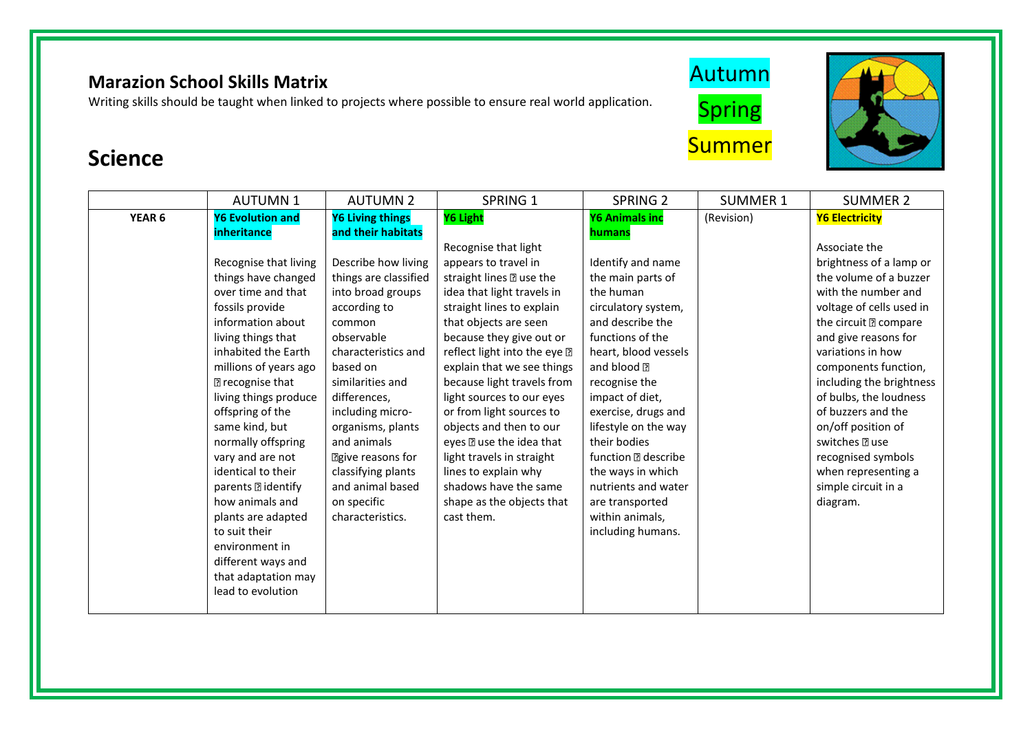## **Marazion School Skills Matrix**

Writing skills should be taught when linked to projects where possible to ensure real world application.

## **Science**



|                   | <b>AUTUMN1</b>            | <b>AUTUMN 2</b>           | SPRING 1                        | <b>SPRING 2</b>            | <b>SUMMER 1</b> | <b>SUMMER 2</b>              |
|-------------------|---------------------------|---------------------------|---------------------------------|----------------------------|-----------------|------------------------------|
| YEAR <sub>6</sub> | <b>Y6 Evolution and</b>   | <b>Y6 Living things</b>   | Y6 Light                        | <b>Y6 Animals inc</b>      | (Revision)      | <b>Y6 Electricity</b>        |
|                   | inheritance               | and their habitats        |                                 | humans                     |                 |                              |
|                   |                           |                           | Recognise that light            |                            |                 | Associate the                |
|                   | Recognise that living     | Describe how living       | appears to travel in            | Identify and name          |                 | brightness of a lamp or      |
|                   | things have changed       | things are classified     | straight lines <b>a</b> use the | the main parts of          |                 | the volume of a buzzer       |
|                   | over time and that        | into broad groups         | idea that light travels in      | the human                  |                 | with the number and          |
|                   | fossils provide           | according to              | straight lines to explain       | circulatory system,        |                 | voltage of cells used in     |
|                   | information about         | common                    | that objects are seen           | and describe the           |                 | the circuit <b>D</b> compare |
|                   | living things that        | observable                | because they give out or        | functions of the           |                 | and give reasons for         |
|                   | inhabited the Earth       | characteristics and       | reflect light into the eye ?    | heart, blood vessels       |                 | variations in how            |
|                   | millions of years ago     | based on                  | explain that we see things      | and blood <b>n</b>         |                 | components function,         |
|                   | <b>I</b> recognise that   | similarities and          | because light travels from      | recognise the              |                 | including the brightness     |
|                   | living things produce     | differences,              | light sources to our eyes       | impact of diet,            |                 | of bulbs, the loudness       |
|                   | offspring of the          | including micro-          | or from light sources to        | exercise, drugs and        |                 | of buzzers and the           |
|                   | same kind, but            | organisms, plants         | objects and then to our         | lifestyle on the way       |                 | on/off position of           |
|                   | normally offspring        | and animals               | eyes II use the idea that       | their bodies               |                 | switches <b>a</b> use        |
|                   | vary and are not          | <b>Elgive reasons for</b> | light travels in straight       | function <b>a</b> describe |                 | recognised symbols           |
|                   | identical to their        | classifying plants        | lines to explain why            | the ways in which          |                 | when representing a          |
|                   | parents <b>D</b> identify | and animal based          | shadows have the same           | nutrients and water        |                 | simple circuit in a          |
|                   | how animals and           | on specific               | shape as the objects that       | are transported            |                 | diagram.                     |
|                   | plants are adapted        | characteristics.          | cast them.                      | within animals,            |                 |                              |
|                   | to suit their             |                           |                                 | including humans.          |                 |                              |
|                   | environment in            |                           |                                 |                            |                 |                              |
|                   | different ways and        |                           |                                 |                            |                 |                              |
|                   | that adaptation may       |                           |                                 |                            |                 |                              |
|                   | lead to evolution         |                           |                                 |                            |                 |                              |

Autumn Spring Summer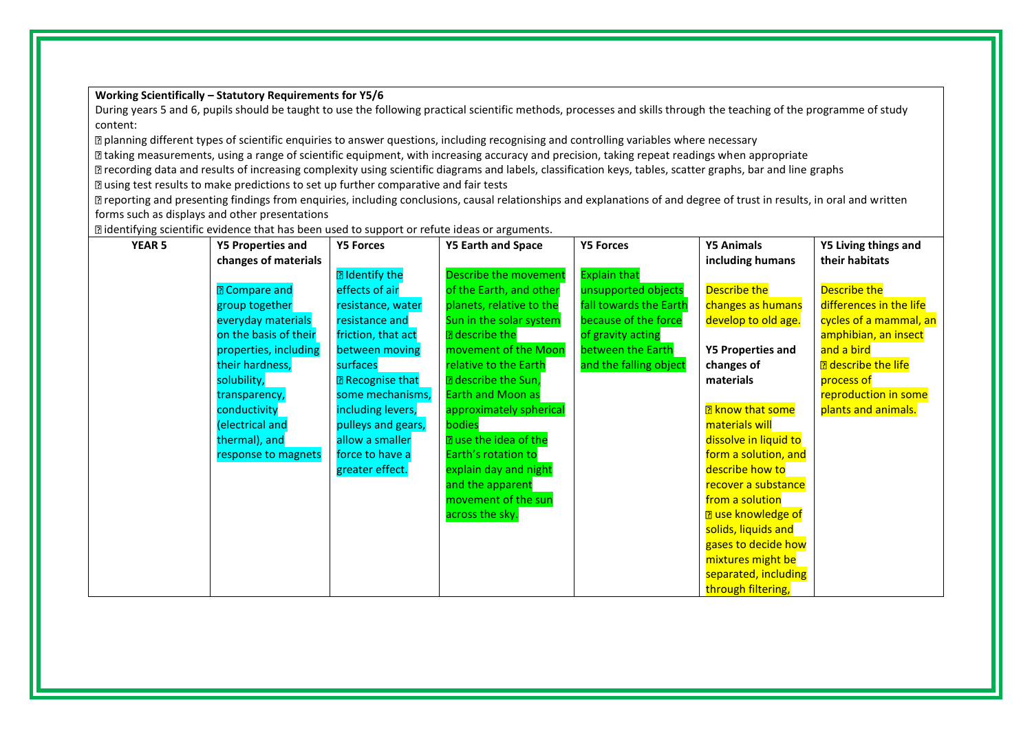## **Working Scientifically – Statutory Requirements for Y5/6**

During years 5 and 6, pupils should be taught to use the following practical scientific methods, processes and skills through the teaching of the programme of study content:

planning different types of scientific enquiries to answer questions, including recognising and controlling variables where necessary

taking measurements, using a range of scientific equipment, with increasing accuracy and precision, taking repeat readings when appropriate

D recording data and results of increasing complexity using scientific diagrams and labels, classification keys, tables, scatter graphs, bar and line graphs

using test results to make predictions to set up further comparative and fair tests

D reporting and presenting findings from enquiries, including conclusions, causal relationships and explanations of and degree of trust in results, in oral and written forms such as displays and other presentations

identifying scientific evidence that has been used to support or refute ideas or arguments.

| <b>YEAR 5</b> | <b>Y5 Properties and</b> | <b>Y5 Forces</b>        | <b>Y5 Earth and Space</b>    | <b>Y5 Forces</b>       | <b>Y5 Animals</b>         | <b>Y5 Living things and</b> |
|---------------|--------------------------|-------------------------|------------------------------|------------------------|---------------------------|-----------------------------|
|               | changes of materials     |                         |                              |                        | including humans          | their habitats              |
|               |                          | <b>D</b> Identify the   | <b>Describe the movement</b> | <b>Explain that</b>    |                           |                             |
|               | <b>D</b> Compare and     | effects of air          | of the Earth, and other      | unsupported objects    | Describe the              | <b>Describe the</b>         |
|               | group together           | resistance, water       | planets, relative to the     | fall towards the Earth | changes as humans         | differences in the life     |
|               | everyday materials       | resistance and          | Sun in the solar system      | because of the force   | develop to old age.       | cycles of a mammal, an      |
|               | on the basis of their    | friction, that act      | <b>D</b> describe the        | of gravity acting      |                           | amphibian, an insect        |
|               | properties, including    | between moving          | movement of the Moon         | between the Earth      | <b>Y5 Properties and</b>  | and a bird                  |
|               | their hardness,          | surfaces                | relative to the Earth        | and the falling object | changes of                | a describe the life         |
|               | solubility,              | <b>E</b> Recognise that | <b>describe the Sun,</b>     |                        | materials                 | process of                  |
|               | transparency,            | some mechanisms,        | <b>Earth and Moon as</b>     |                        |                           | reproduction in some        |
|               | conductivity             | including levers,       | approximately spherical      |                        | <b>Z know that some</b>   | plants and animals.         |
|               | (electrical and          | pulleys and gears,      | bodies                       |                        | materials will            |                             |
|               | thermal), and            | allow a smaller         | a use the idea of the        |                        | dissolve in liquid to     |                             |
|               | response to magnets      | force to have a         | Earth's rotation to          |                        | form a solution, and      |                             |
|               |                          | greater effect.         | explain day and night        |                        | describe how to           |                             |
|               |                          |                         | and the apparent             |                        | recover a substance       |                             |
|               |                          |                         | movement of the sun          |                        | from a solution           |                             |
|               |                          |                         | across the sky.              |                        | <b>Z</b> use knowledge of |                             |
|               |                          |                         |                              |                        | solids, liquids and       |                             |
|               |                          |                         |                              |                        | gases to decide how       |                             |
|               |                          |                         |                              |                        | mixtures might be         |                             |
|               |                          |                         |                              |                        | separated, including      |                             |
|               |                          |                         |                              |                        | through filtering,        |                             |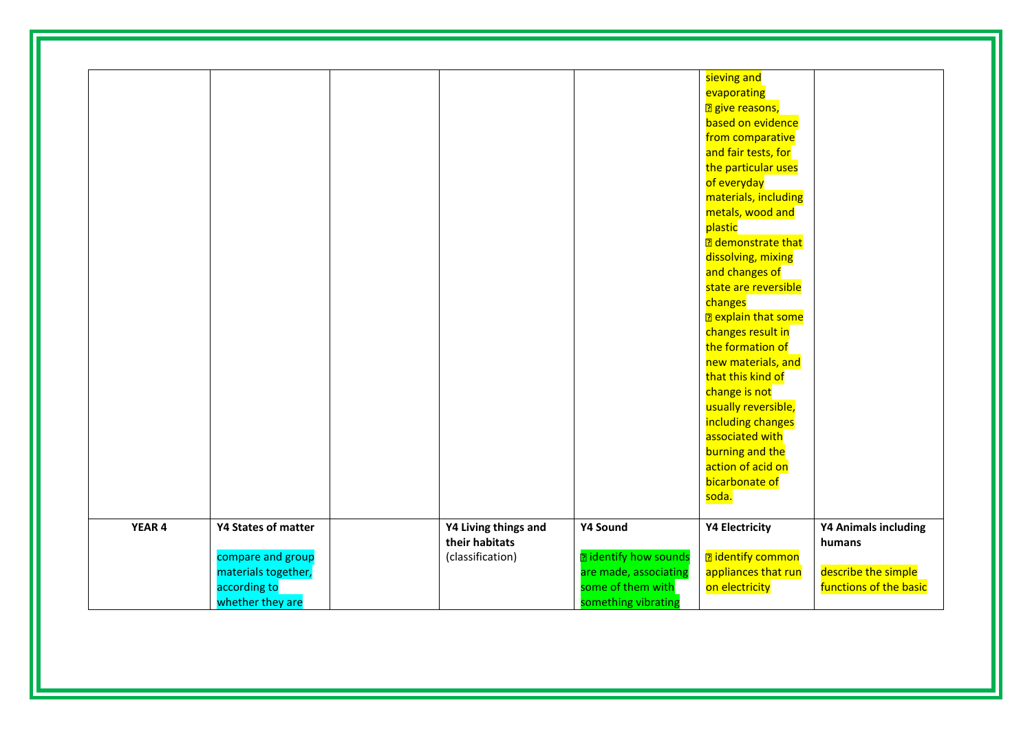|        |                     |                      |                             | sieving and<br>evaporating                      |                             |
|--------|---------------------|----------------------|-----------------------------|-------------------------------------------------|-----------------------------|
|        |                     |                      |                             | <b>a</b> give reasons,                          |                             |
|        |                     |                      |                             | based on evidence                               |                             |
|        |                     |                      |                             | from comparative                                |                             |
|        |                     |                      |                             | and fair tests, for                             |                             |
|        |                     |                      |                             | the particular uses                             |                             |
|        |                     |                      |                             | of everyday                                     |                             |
|        |                     |                      |                             | materials, including                            |                             |
|        |                     |                      |                             | metals, wood and                                |                             |
|        |                     |                      |                             | plastic                                         |                             |
|        |                     |                      |                             | a demonstrate that                              |                             |
|        |                     |                      |                             | dissolving, mixing                              |                             |
|        |                     |                      |                             | and changes of                                  |                             |
|        |                     |                      |                             | state are reversible                            |                             |
|        |                     |                      |                             | changes                                         |                             |
|        |                     |                      |                             | <b>D</b> explain that some<br>changes result in |                             |
|        |                     |                      |                             | the formation of                                |                             |
|        |                     |                      |                             | new materials, and                              |                             |
|        |                     |                      |                             | that this kind of                               |                             |
|        |                     |                      |                             | change is not                                   |                             |
|        |                     |                      |                             | usually reversible,                             |                             |
|        |                     |                      |                             | including changes                               |                             |
|        |                     |                      |                             | associated with                                 |                             |
|        |                     |                      |                             | burning and the                                 |                             |
|        |                     |                      |                             | action of acid on                               |                             |
|        |                     |                      |                             | bicarbonate of                                  |                             |
|        |                     |                      |                             | soda.                                           |                             |
|        |                     |                      |                             |                                                 |                             |
| YEAR 4 | Y4 States of matter | Y4 Living things and | Y4 Sound                    | <b>Y4 Electricity</b>                           | <b>Y4 Animals including</b> |
|        |                     | their habitats       |                             |                                                 | humans                      |
|        | compare and group   | (classification)     | <b>Didentify how sounds</b> | <b>a</b> identify common                        |                             |
|        | materials together, |                      | are made, associating       | appliances that run                             | describe the simple         |
|        | according to        |                      | some of them with           | on electricity                                  | functions of the basic      |
|        | whether they are    |                      | something vibrating         |                                                 |                             |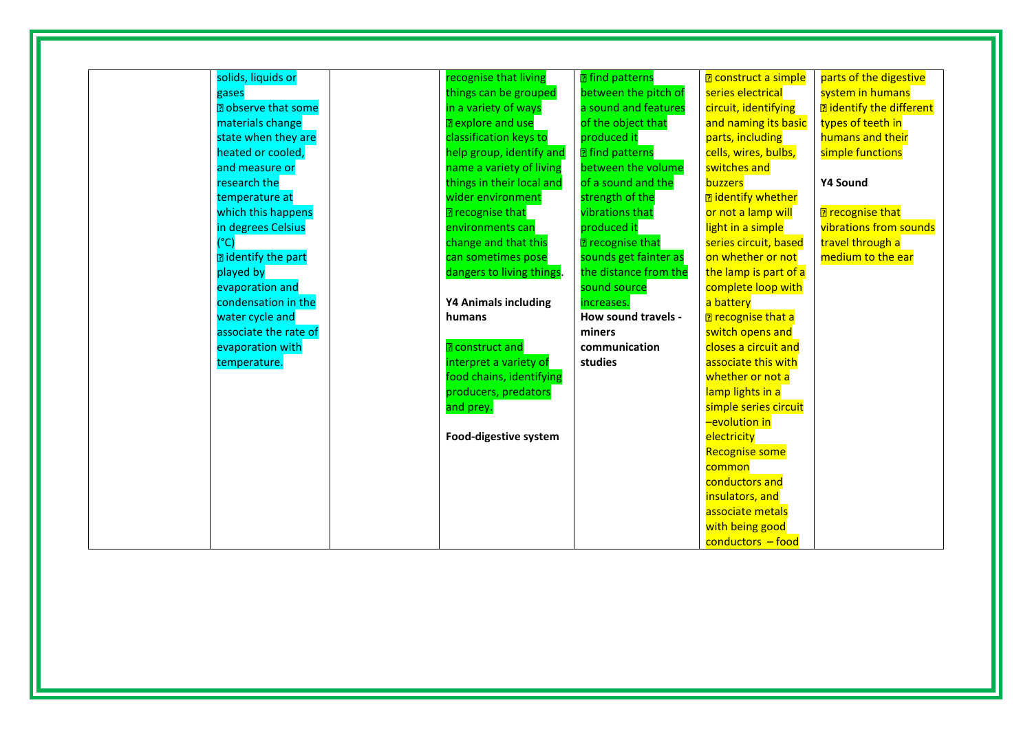| solids, liquids or        | recognise that living       | <b>The patterns</b>     | <b>Z</b> construct a simple | parts of the digestive   |
|---------------------------|-----------------------------|-------------------------|-----------------------------|--------------------------|
| gases                     | things can be grouped       | between the pitch of    | series electrical           | system in humans         |
| <b>Dobserve that some</b> | in a variety of ways        | a sound and features    | circuit, identifying        | a identify the different |
| materials change          | <b>R</b> explore and use    | of the object that      | and naming its basic        | types of teeth in        |
| state when they are       | classification keys to      | produced it             | parts, including            | humans and their         |
| heated or cooled,         | help group, identify and    | <b>2 find patterns</b>  | cells, wires, bulbs,        | simple functions         |
| and measure or            | name a variety of living    | between the volume      | switches and                |                          |
| research the              | things in their local and   | of a sound and the      | buzzers                     | Y4 Sound                 |
| temperature at            | wider environment           | strength of the         | <b>Tidentify whether</b>    |                          |
| which this happens        | <b>T</b> recognise that     | vibrations that         | or not a lamp will          | <b>T</b> recognise that  |
| in degrees Celsius        | environments can            | produced it             | light in a simple           | vibrations from sounds   |
| $(^{\circ}C)$             | change and that this        | <b>T</b> recognise that | series circuit, based       | travel through a         |
| <b>Didentify the part</b> | can sometimes pose          | sounds get fainter as   | on whether or not           | medium to the ear        |
| played by                 | dangers to living things.   | the distance from the   | the lamp is part of a       |                          |
| evaporation and           |                             | sound source            | complete loop with          |                          |
| condensation in the       | <b>Y4 Animals including</b> | increases.              | a battery                   |                          |
| water cycle and           | humans                      | How sound travels -     | <b>T</b> recognise that a   |                          |
| associate the rate of     |                             | miners                  | switch opens and            |                          |
| evaporation with          | <b>R</b> construct and      | communication           | closes a circuit and        |                          |
| temperature.              | interpret a variety of      | studies                 | associate this with         |                          |
|                           | food chains, identifying    |                         | whether or not a            |                          |
|                           | producers, predators        |                         | lamp lights in a            |                          |
|                           | and prey.                   |                         | simple series circuit       |                          |
|                           |                             |                         | evolution in                |                          |
|                           | Food-digestive system       |                         | electricity                 |                          |
|                           |                             |                         | <b>Recognise some</b>       |                          |
|                           |                             |                         | common                      |                          |
|                           |                             |                         | conductors and              |                          |
|                           |                             |                         | insulators, and             |                          |
|                           |                             |                         | associate metals            |                          |
|                           |                             |                         | with being good             |                          |
|                           |                             |                         | conductors - food           |                          |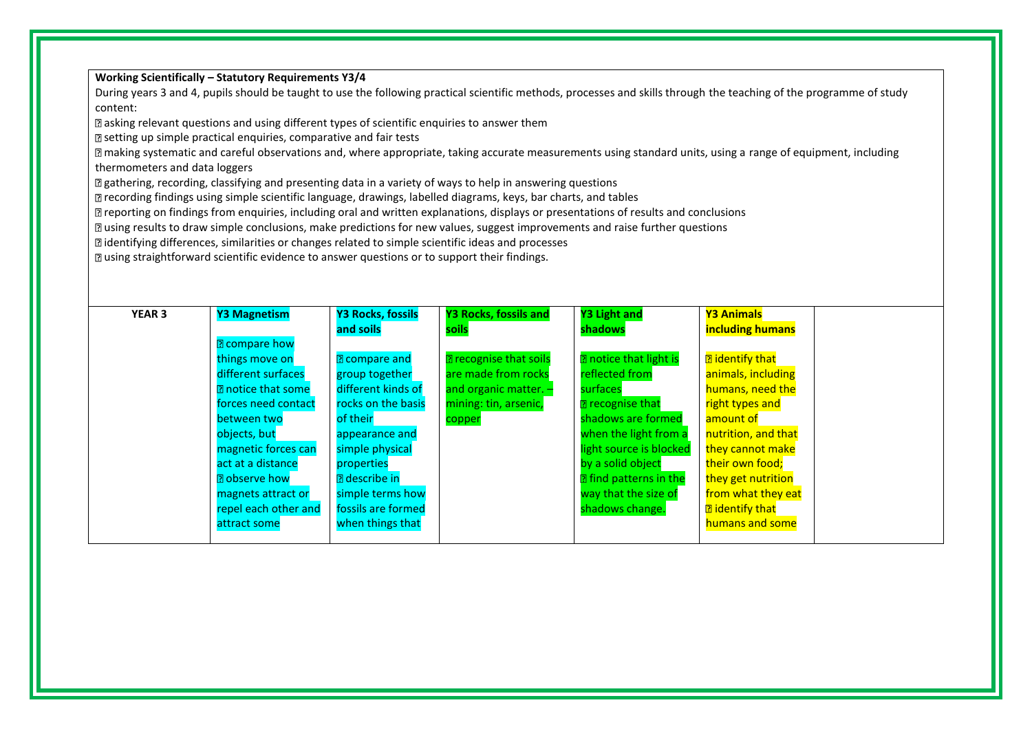## **Working Scientifically – Statutory Requirements Y3/4**

During years 3 and 4, pupils should be taught to use the following practical scientific methods, processes and skills through the teaching of the programme of study content:

asking relevant questions and using different types of scientific enquiries to answer them

D setting up simple practical enquiries, comparative and fair tests

making systematic and careful observations and, where appropriate, taking accurate measurements using standard units, using a range of equipment, including thermometers and data loggers

gathering, recording, classifying and presenting data in a variety of ways to help in answering questions

recording findings using simple scientific language, drawings, labelled diagrams, keys, bar charts, and tables

reporting on findings from enquiries, including oral and written explanations, displays or presentations of results and conclusions

using results to draw simple conclusions, make predictions for new values, suggest improvements and raise further questions

identifying differences, similarities or changes related to simple scientific ideas and processes

using straightforward scientific evidence to answer questions or to support their findings.

| <b>YEAR 3</b> | <b>Y3 Magnetism</b>      | <b>Y3 Rocks, fossils</b> | <b>Y3 Rocks, fossils and</b>  | <b>Y3 Light and</b>           | <b>Y3 Animals</b>      |
|---------------|--------------------------|--------------------------|-------------------------------|-------------------------------|------------------------|
|               |                          | and soils                | soils                         | shadows                       | including humans       |
|               | <b>Z</b> compare how     |                          |                               |                               |                        |
|               | things move on           | <b>D</b> compare and     | <b>T</b> recognise that soils | <b>Z</b> notice that light is | <b>R</b> identify that |
|               | different surfaces       | group together           | are made from rocks           | reflected from                | animals, including     |
|               | <b>Inotice that some</b> | different kinds of       | and organic matter. -         | surfaces                      | humans, need the       |
|               | forces need contact      | rocks on the basis       | mining: tin, arsenic,         | <b>T</b> recognise that       | right types and        |
|               | between two              | of their                 | copper                        | shadows are formed            | amount of              |
|               | objects, but             | appearance and           |                               | when the light from a         | nutrition, and that    |
|               | magnetic forces can      | simple physical          |                               | light source is blocked       | they cannot make       |
|               | act at a distance        | properties               |                               | by a solid object             | their own food;        |
|               | <b>Dobserve how</b>      | $\square$ describe in    |                               | <b>I</b> find patterns in the | they get nutrition     |
|               | magnets attract or       | simple terms how         |                               | way that the size of          | from what they eat     |
|               | repel each other and     | fossils are formed       |                               | shadows change.               | <b>D</b> identify that |
|               | attract some             | when things that         |                               |                               | humans and some        |
|               |                          |                          |                               |                               |                        |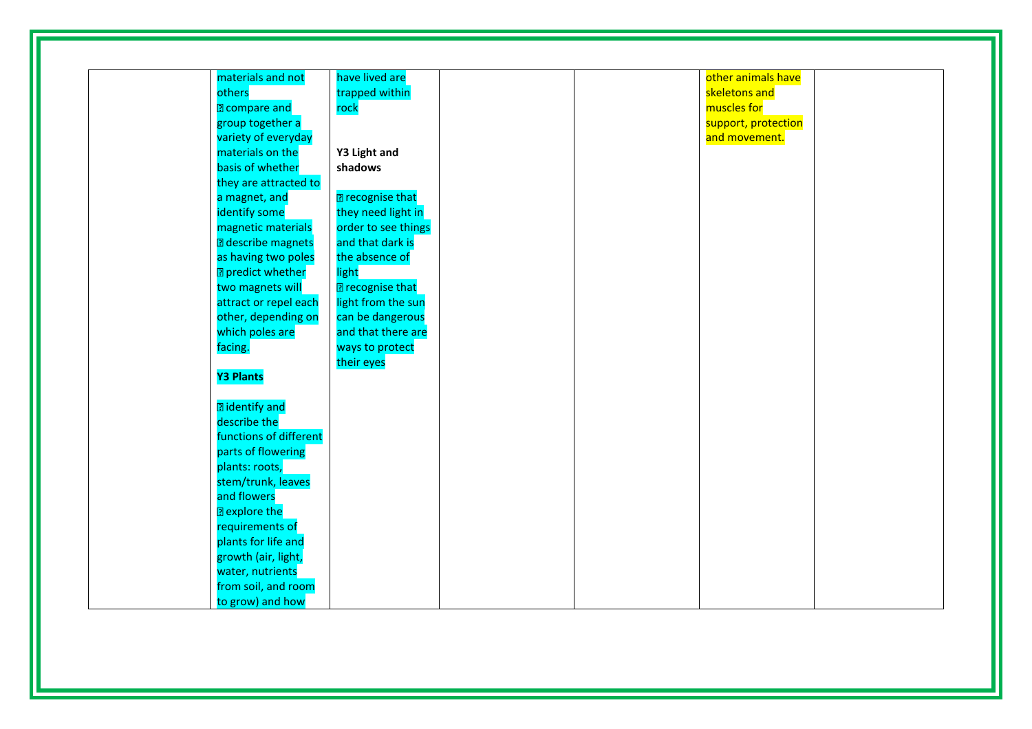| materials and not        | have lived are          |  | other animals have  |  |
|--------------------------|-------------------------|--|---------------------|--|
| others                   | trapped within          |  | skeletons and       |  |
| <b>Z</b> compare and     | rock                    |  | muscles for         |  |
| group together a         |                         |  | support, protection |  |
| variety of everyday      |                         |  | and movement.       |  |
| materials on the         | Y3 Light and            |  |                     |  |
| basis of whether         | shadows                 |  |                     |  |
| they are attracted to    |                         |  |                     |  |
| a magnet, and            | <b>Z</b> recognise that |  |                     |  |
| identify some            | they need light in      |  |                     |  |
| magnetic materials       | order to see things     |  |                     |  |
| a describe magnets       | and that dark is        |  |                     |  |
| as having two poles      | the absence of          |  |                     |  |
| <b>D</b> predict whether | light                   |  |                     |  |
| two magnets will         | <b>T</b> recognise that |  |                     |  |
| attract or repel each    | light from the sun      |  |                     |  |
| other, depending on      | can be dangerous        |  |                     |  |
| which poles are          | and that there are      |  |                     |  |
| facing.                  | ways to protect         |  |                     |  |
|                          | their eyes              |  |                     |  |
| Y3 Plants                |                         |  |                     |  |
|                          |                         |  |                     |  |
| <b>Didentify and</b>     |                         |  |                     |  |
| describe the             |                         |  |                     |  |
| functions of different   |                         |  |                     |  |
| parts of flowering       |                         |  |                     |  |
| plants: roots,           |                         |  |                     |  |
| stem/trunk, leaves       |                         |  |                     |  |
| and flowers              |                         |  |                     |  |
| <b>Z</b> explore the     |                         |  |                     |  |
| requirements of          |                         |  |                     |  |
| plants for life and      |                         |  |                     |  |
| growth (air, light,      |                         |  |                     |  |
| water, nutrients         |                         |  |                     |  |
| from soil, and room      |                         |  |                     |  |
| to grow) and how         |                         |  |                     |  |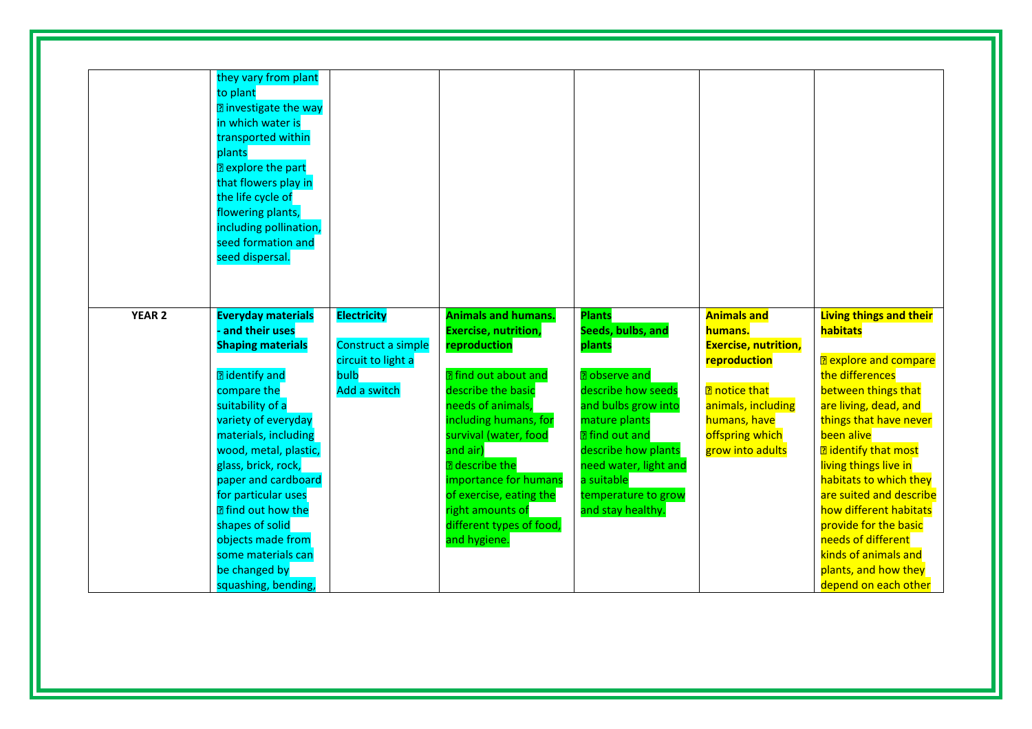|               | they vary from plant<br>to plant<br><b>I</b> investigate the way<br>in which water is<br>transported within<br>plants<br>a explore the part<br>that flowers play in<br>the life cycle of<br>flowering plants,<br>including pollination,<br>seed formation and<br>seed dispersal.                                                                                                                                     |                                                                                        |                                                                                                                                                                                                                                                                                                                                                       |                                                                                                                                                                                                                                                                      |                                                                                                                                                                                   |                                                                                                                                                                                                                                                                                                                                                                                                                                                     |
|---------------|----------------------------------------------------------------------------------------------------------------------------------------------------------------------------------------------------------------------------------------------------------------------------------------------------------------------------------------------------------------------------------------------------------------------|----------------------------------------------------------------------------------------|-------------------------------------------------------------------------------------------------------------------------------------------------------------------------------------------------------------------------------------------------------------------------------------------------------------------------------------------------------|----------------------------------------------------------------------------------------------------------------------------------------------------------------------------------------------------------------------------------------------------------------------|-----------------------------------------------------------------------------------------------------------------------------------------------------------------------------------|-----------------------------------------------------------------------------------------------------------------------------------------------------------------------------------------------------------------------------------------------------------------------------------------------------------------------------------------------------------------------------------------------------------------------------------------------------|
| <b>YEAR 2</b> | <b>Everyday materials</b><br>- and their uses<br><b>Shaping materials</b><br><b>Didentify and</b><br>compare the<br>suitability of a<br>variety of everyday<br>materials, including<br>wood, metal, plastic,<br>glass, brick, rock,<br>paper and cardboard<br>for particular uses<br><b>I</b> find out how the<br>shapes of solid<br>objects made from<br>some materials can<br>be changed by<br>squashing, bending, | <b>Electricity</b><br>Construct a simple<br>circuit to light a<br>bulb<br>Add a switch | <b>Animals and humans.</b><br><b>Exercise, nutrition,</b><br>reproduction<br><b>I</b> find out about and<br>describe the basic<br>needs of animals,<br>including humans, for<br>survival (water, food<br>and air)<br>describe the<br>importance for humans<br>of exercise, eating the<br>right amounts of<br>different types of food,<br>and hygiene. | <b>Plants</b><br>Seeds, bulbs, and<br>plants<br><b>Dobserve and</b><br>describe how seeds<br>and bulbs grow into<br>mature plants<br><b>T</b> find out and<br>describe how plants<br>need water, light and<br>a suitable<br>temperature to grow<br>and stay healthy. | <b>Animals and</b><br>humans.<br><b>Exercise, nutrition,</b><br>reproduction<br><b>Z</b> notice that<br>animals, including<br>humans, have<br>offspring which<br>grow into adults | <b>Living things and their</b><br>habitats<br><b>B</b> explore and compare<br>the differences<br>between things that<br>are living, dead, and<br>things that have never<br>been alive<br><b>E</b> identify that most<br>living things live in<br>habitats to which they<br>are suited and describe<br>how different habitats<br>provide for the basic<br>needs of different<br>kinds of animals and<br>plants, and how they<br>depend on each other |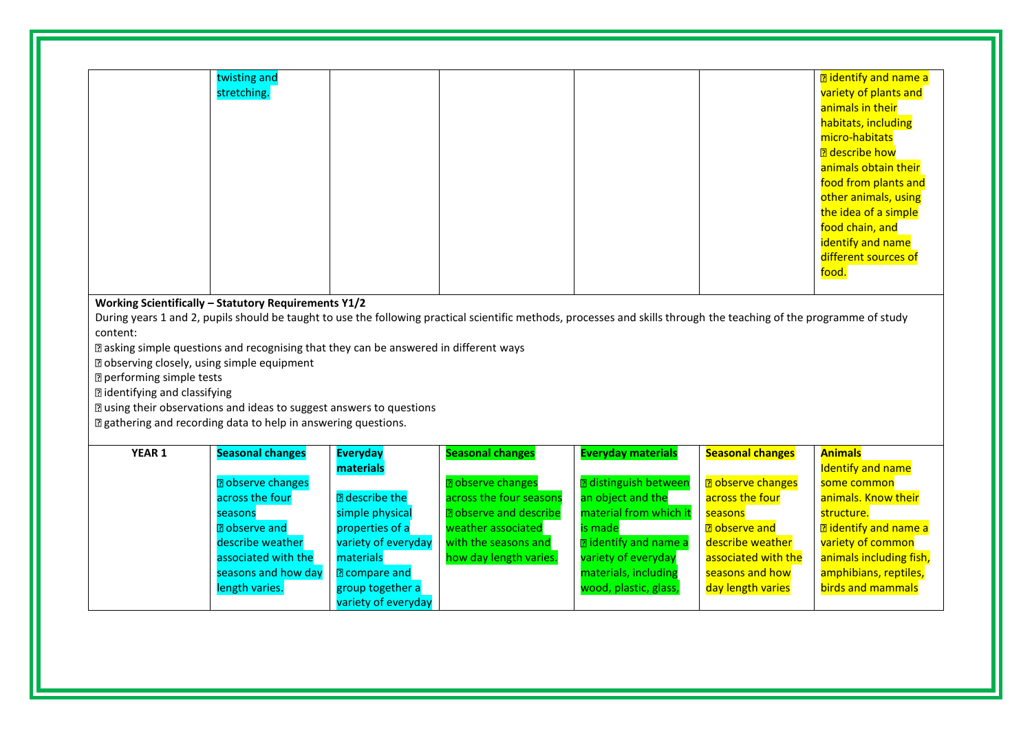|                                                                                                                                             | twisting and                                                                                                                                                                                                                                                                                               |                                          |                         |                                               |                                      | <b>a</b> identify and name a               |
|---------------------------------------------------------------------------------------------------------------------------------------------|------------------------------------------------------------------------------------------------------------------------------------------------------------------------------------------------------------------------------------------------------------------------------------------------------------|------------------------------------------|-------------------------|-----------------------------------------------|--------------------------------------|--------------------------------------------|
|                                                                                                                                             | stretching.                                                                                                                                                                                                                                                                                                |                                          |                         |                                               |                                      | variety of plants and                      |
|                                                                                                                                             |                                                                                                                                                                                                                                                                                                            |                                          |                         |                                               |                                      | animals in their                           |
|                                                                                                                                             |                                                                                                                                                                                                                                                                                                            |                                          |                         |                                               |                                      | habitats, including                        |
|                                                                                                                                             |                                                                                                                                                                                                                                                                                                            |                                          |                         |                                               |                                      | micro-habitats                             |
|                                                                                                                                             |                                                                                                                                                                                                                                                                                                            |                                          |                         |                                               |                                      | <b>D</b> describe how                      |
|                                                                                                                                             |                                                                                                                                                                                                                                                                                                            |                                          |                         |                                               |                                      | animals obtain their                       |
|                                                                                                                                             |                                                                                                                                                                                                                                                                                                            |                                          |                         |                                               |                                      | food from plants and                       |
|                                                                                                                                             |                                                                                                                                                                                                                                                                                                            |                                          |                         |                                               |                                      | other animals, using                       |
|                                                                                                                                             |                                                                                                                                                                                                                                                                                                            |                                          |                         |                                               |                                      | the idea of a simple                       |
|                                                                                                                                             |                                                                                                                                                                                                                                                                                                            |                                          |                         |                                               |                                      | food chain, and                            |
|                                                                                                                                             |                                                                                                                                                                                                                                                                                                            |                                          |                         |                                               |                                      | identify and name                          |
|                                                                                                                                             |                                                                                                                                                                                                                                                                                                            |                                          |                         |                                               |                                      | different sources of                       |
|                                                                                                                                             |                                                                                                                                                                                                                                                                                                            |                                          |                         |                                               |                                      | food.                                      |
|                                                                                                                                             | During years 1 and 2, pupils should be taught to use the following practical scientific methods, processes and skills through the teaching of the programme of study<br>asking simple questions and recognising that they can be answered in different ways<br>a observing closely, using simple equipment |                                          |                         |                                               |                                      |                                            |
|                                                                                                                                             | a using their observations and ideas to suggest answers to questions<br>I gathering and recording data to help in answering questions.                                                                                                                                                                     |                                          |                         |                                               |                                      |                                            |
| YEAR 1                                                                                                                                      | <b>Seasonal changes</b>                                                                                                                                                                                                                                                                                    | <b>Everyday</b>                          | <b>Seasonal changes</b> | <b>Everyday materials</b>                     | <b>Seasonal changes</b>              | <b>Animals</b>                             |
|                                                                                                                                             |                                                                                                                                                                                                                                                                                                            | materials                                |                         |                                               |                                      | <b>Identify and name</b>                   |
|                                                                                                                                             | <b>Dobserve changes</b>                                                                                                                                                                                                                                                                                    |                                          | <b>Dobserve changes</b> | distinguish between                           | <b>Dobserve changes</b>              | some common                                |
|                                                                                                                                             | across the four                                                                                                                                                                                                                                                                                            | a describe the                           | across the four seasons | an object and the                             | across the four                      | animals. Know their                        |
|                                                                                                                                             | seasons                                                                                                                                                                                                                                                                                                    | simple physical                          | a observe and describe  | material from which it                        | seasons                              | structure.                                 |
|                                                                                                                                             | <b>Dobserve and</b>                                                                                                                                                                                                                                                                                        | properties of a                          | weather associated      | is made                                       | <b>Dobserve and</b>                  | <b>a</b> identify and name a               |
|                                                                                                                                             | describe weather                                                                                                                                                                                                                                                                                           | variety of everyday                      | with the seasons and    | a identify and name a                         | describe weather                     | variety of common                          |
|                                                                                                                                             | associated with the                                                                                                                                                                                                                                                                                        | materials                                | how day length varies.  | variety of everyday                           | associated with the                  | animals including fish,                    |
| Working Scientifically - Statutory Requirements Y1/2<br>content:<br><b>D</b> performing simple tests<br><b>Didentifying and classifying</b> | seasons and how day<br>length varies.                                                                                                                                                                                                                                                                      | <b>D</b> compare and<br>group together a |                         | materials, including<br>wood, plastic, glass, | seasons and how<br>day length varies | amphibians, reptiles,<br>birds and mammals |